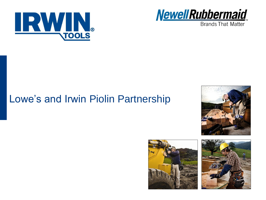



**Brands That Matter** 

# Lowe's and Irwin Piolin Partnership





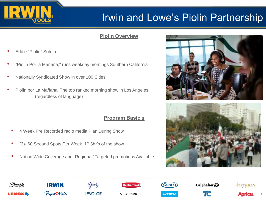

# Irwin and Lowe's Piolin Partnership

## **Piolin Overview**

- Eddie "Piolín" Sotelo
- "Piolín Por la Mañana," runs weekday mornings Southern California
- Nationally Syndicated Show in over 100 Cities
- Piolín por La Mañana :The top ranked morning show in Los Angeles (regardless of language)

## **Program Basic's**

- 4 Week Pre Recorded radio media Plan During Show
- (3)- 60 Second Spots Per Week. 1<sup>st</sup> 3hr's of the show.
- Nation Wide Coverage and Regional/ Targeted promotions Available





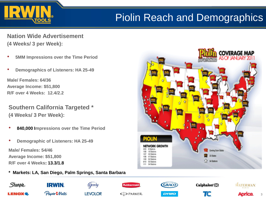# Piolin Reach and Demographics

**Nation Wide Advertisement (4 Weeks/ 3 per Week):**

- **5MM Impressions over the Time Period**
- **Demographics of Listeners: HA 25-49**

**Male/ Females: 64/36 Average Income: \$51,800 R/F over 4 Weeks: 12.4/2.2**

**Southern California Targeted \* (4 Weeks/ 3 Per Week):**

- **840,000 Impressions over the Time Period**
- **Demographic of Listeners: HA 25-49**

**Male/ Females: 54/46 Average Income: \$51,800 R/F over 4 Weeks: 13.3/1.8**

#### **\* Markets: LA, San Diego, Palm Springs, Santa Barbara**